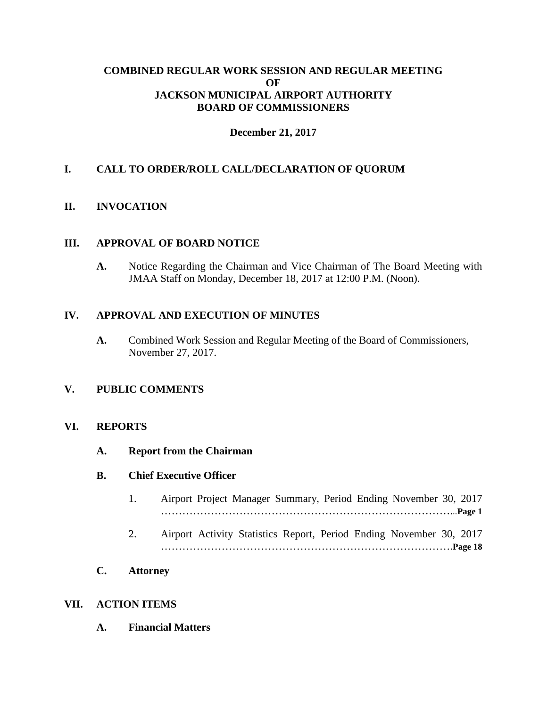### **COMBINED REGULAR WORK SESSION AND REGULAR MEETING OF JACKSON MUNICIPAL AIRPORT AUTHORITY BOARD OF COMMISSIONERS**

### **December 21, 2017**

## **I. CALL TO ORDER/ROLL CALL/DECLARATION OF QUORUM**

### **II. INVOCATION**

#### **III. APPROVAL OF BOARD NOTICE**

**A.** Notice Regarding the Chairman and Vice Chairman of The Board Meeting with JMAA Staff on Monday, December 18, 2017 at 12:00 P.M. (Noon).

#### **IV. APPROVAL AND EXECUTION OF MINUTES**

**A.** Combined Work Session and Regular Meeting of the Board of Commissioners, November 27, 2017.

### **V. PUBLIC COMMENTS**

#### **VI. REPORTS**

**A. Report from the Chairman**

#### **B. Chief Executive Officer**

- 1. Airport Project Manager Summary, Period Ending November 30, 2017 ………………………………………………………………………...**Page 1**
- 2. Airport Activity Statistics Report, Period Ending November 30, 2017 ……………………………………………………………………….**Page 18**
- **C. Attorney**

#### **VII. ACTION ITEMS**

**A. Financial Matters**